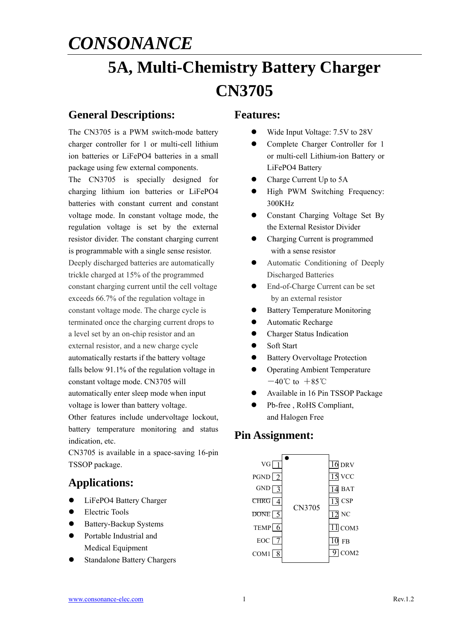# **5A, Multi-Chemistry Battery Charger CN3705**

### **General Descriptions:**

The CN3705 is a PWM switch-mode battery charger controller for 1 or multi-cell lithium ion batteries or LiFePO4 batteries in a small package using few external components.

The CN3705 is specially designed for charging lithium ion batteries or LiFePO4 batteries with constant current and constant voltage mode. In constant voltage mode, the regulation voltage is set by the external resistor divider. The constant charging current is programmable with a single sense resistor. Deeply discharged batteries are automatically trickle charged at 15% of the programmed constant charging current until the cell voltage exceeds 66.7% of the regulation voltage in constant voltage mode. The charge cycle is terminated once the charging current drops to a level set by an on-chip resistor and an external resistor, and a new charge cycle automatically restarts if the battery voltage falls below 91.1% of the regulation voltage in constant voltage mode. CN3705 will automatically enter sleep mode when input voltage is lower than battery voltage. Other features include undervoltage lockout,

battery temperature monitoring and status indication, etc.

CN3705 is available in a space-saving 16-pin TSSOP package.

### **Applications:**

- **•** LiFePO4 Battery Charger
- Electric Tools
- Battery-Backup Systems
- Portable Industrial and Medical Equipment
- Standalone Battery Chargers

#### **Features:**

- Wide Input Voltage: 7.5V to 28V
- Complete Charger Controller for 1 or multi-cell Lithium-ion Battery or LiFePO4 Battery
- Charge Current Up to 5A
- $\bullet$  High PWM Switching Frequency: 300KHz
- Constant Charging Voltage Set By the External Resistor Divider
- Charging Current is programmed with a sense resistor
- Automatic Conditioning of Deeply Discharged Batteries
- End-of-Charge Current can be set by an external resistor
- Battery Temperature Monitoring
- Automatic Recharge
- **•** Charger Status Indication
- Soft Start
- Battery Overvoltage Protection
- Operating Ambient Temperature  $-40^{\circ}$ C to  $+85^{\circ}$ C
- Available in 16 Pin TSSOP Package
- Pb-free , RoHS Compliant, and Halogen Free

### **Pin Assignment:**

| VG               |        | $16$ DRV         |
|------------------|--------|------------------|
| $PGND$ $2$       |        | VCC<br>15        |
| GND              |        | $14$ BAT         |
| CHRG             |        | <b>CSP</b>       |
| DONE $\boxed{5}$ | CN3705 | $_{\mathrm{NC}}$ |
| TEMP $\boxed{6}$ |        | $11$ COM3        |
| $EOC$ $7$        |        | FB               |
| COM <sub>1</sub> |        | 2OM2             |
|                  |        |                  |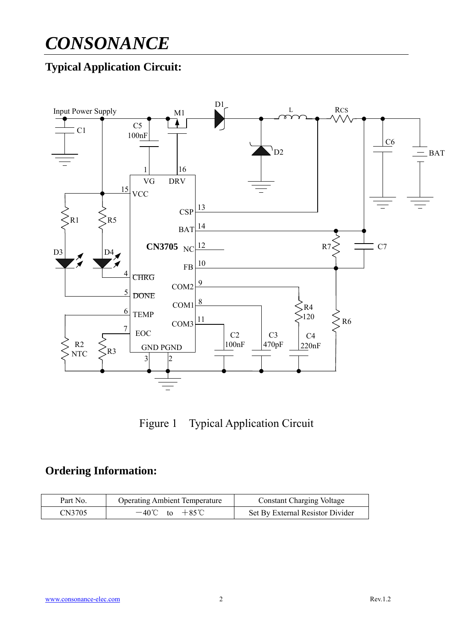## **Typical Application Circuit:**



Figure 1 Typical Application Circuit

### **Ordering Information:**

| Part No. | <b>Operating Ambient Temperature</b> | <b>Constant Charging Voltage</b> |  |
|----------|--------------------------------------|----------------------------------|--|
| CN3705   | $-40^{\circ}$ C to $+85^{\circ}$ C   | Set By External Resistor Divider |  |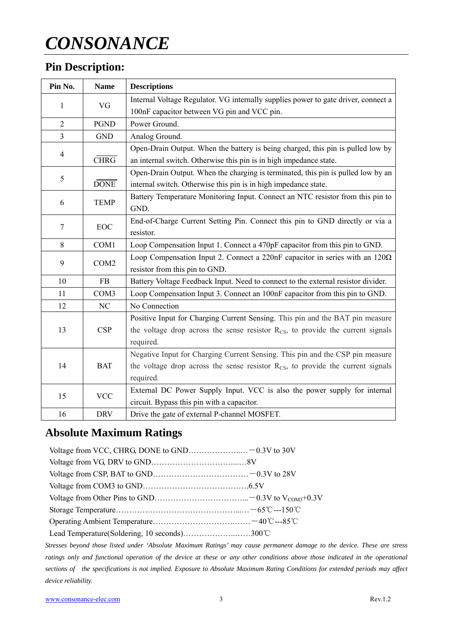## **Pin Description:**

| Pin No.               | <b>Name</b>              | <b>Descriptions</b>                                                                         |  |  |
|-----------------------|--------------------------|---------------------------------------------------------------------------------------------|--|--|
| VG<br>1               |                          | Internal Voltage Regulator. VG internally supplies power to gate driver, connect a          |  |  |
|                       |                          | 100nF capacitor between VG pin and VCC pin.                                                 |  |  |
| $\overline{2}$        | <b>PGND</b>              | Power Ground.                                                                               |  |  |
| 3                     | <b>GND</b>               | Analog Ground.                                                                              |  |  |
|                       |                          | Open-Drain Output. When the battery is being charged, this pin is pulled low by             |  |  |
| $\overline{4}$        | $\overline{\text{CHRG}}$ | an internal switch. Otherwise this pin is in high impedance state.                          |  |  |
|                       |                          | Open-Drain Output. When the charging is terminated, this pin is pulled low by an            |  |  |
| 5                     | <b>DONE</b>              | internal switch. Otherwise this pin is in high impedance state.                             |  |  |
|                       | <b>TEMP</b>              | Battery Temperature Monitoring Input. Connect an NTC resistor from this pin to              |  |  |
| 6                     |                          | GND.                                                                                        |  |  |
| EOC<br>7              |                          | End-of-Charge Current Setting Pin. Connect this pin to GND directly or via a                |  |  |
|                       |                          | resistor.                                                                                   |  |  |
| 8                     | COM1                     | Loop Compensation Input 1. Connect a 470pF capacitor from this pin to GND.                  |  |  |
| 9<br>COM <sub>2</sub> |                          | Loop Compensation Input 2. Connect a 220nF capacitor in series with an $120\Omega$          |  |  |
|                       |                          | resistor from this pin to GND.                                                              |  |  |
| 10                    | FB                       | Battery Voltage Feedback Input. Need to connect to the external resistor divider.           |  |  |
| 11                    | COM <sub>3</sub>         | Loop Compensation Input 3. Connect an 100nF capacitor from this pin to GND.                 |  |  |
| 12                    | NC                       | No Connection                                                                               |  |  |
|                       |                          | Positive Input for Charging Current Sensing. This pin and the BAT pin measure               |  |  |
| 13                    | <b>CSP</b>               | the voltage drop across the sense resistor $R_{CS}$ , to provide the current signals        |  |  |
|                       |                          | required.                                                                                   |  |  |
|                       |                          | Negative Input for Charging Current Sensing. This pin and the CSP pin measure               |  |  |
| 14                    | <b>BAT</b>               | the voltage drop across the sense resistor $R_{\text{CS}}$ , to provide the current signals |  |  |
|                       |                          | required.                                                                                   |  |  |
| 15                    | <b>VCC</b>               | External DC Power Supply Input. VCC is also the power supply for internal                   |  |  |
|                       |                          | circuit. Bypass this pin with a capacitor.                                                  |  |  |
| 16                    | <b>DRV</b>               | Drive the gate of external P-channel MOSFET.                                                |  |  |

## **Absolute Maximum Ratings**

| Lead Temperature (Soldering, 10 seconds)300°C |  |
|-----------------------------------------------|--|

*Stresses beyond those listed under 'Absolute Maximum Ratings' may cause permanent damage to the device. These are stress ratings only and functional operation of the device at these or any other conditions above those indicated in the operational sections of the specifications is not implied. Exposure to Absolute Maximum Rating Conditions for extended periods may affect device reliability.*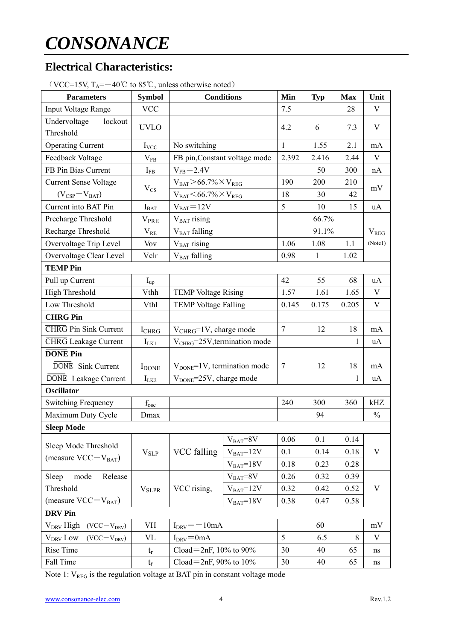### **Electrical Characteristics:**

| $\vee$ v CC $\vee$ 19 $\vee$ , 1A<br><b>Parameters</b> | <b>Symbol</b>            | <b>Conditions</b>                           |                               | Min    | <b>Typ</b>   | <b>Max</b> | Unit          |
|--------------------------------------------------------|--------------------------|---------------------------------------------|-------------------------------|--------|--------------|------------|---------------|
| Input Voltage Range                                    | <b>VCC</b>               |                                             |                               | 7.5    |              | 28         | V             |
| Undervoltage<br>lockout<br>Threshold                   | <b>UVLO</b>              |                                             |                               | 4.2    | 6            | 7.3        | V             |
| <b>Operating Current</b>                               | $I_{\text{VCC}}$         | No switching                                |                               | 1      | 1.55         | 2.1        | mA            |
| Feedback Voltage                                       | $V_{FB}$                 |                                             | FB pin, Constant voltage mode | 2.392  | 2.416        | 2.44       | V             |
| FB Pin Bias Current                                    | $I_{FB}$                 | $V_{FB} = 2.4V$                             |                               |        | 50           | 300        | nA            |
| <b>Current Sense Voltage</b>                           |                          | $V_{BAT}$ > 66.7% $\times$ V <sub>reg</sub> |                               | 190    | 200          | 210        |               |
| $(V_{CSP}-V_{BAT})$                                    | $V_{CS}$                 | $V_{BAT} < 66.7\% \times V_{REG}$           |                               | 18     | 30           | 42         | mV            |
| Current into BAT Pin                                   | $I_{BAT}$                | $V_{BAT} = 12V$                             |                               | 5      | 10           | 15         | uA            |
| Precharge Threshold                                    | <b>V</b> <sub>PRE</sub>  | $V_{BAT}$ rising                            |                               |        | 66.7%        |            |               |
| Recharge Threshold                                     | $\rm V_{RE}$             | V <sub>BAT</sub> falling                    |                               |        | 91.1%        |            | $V_{REG}$     |
| Overvoltage Trip Level                                 | Vov                      | $VBAT$ rising                               |                               | 1.06   | 1.08         | 1.1        | (Notel)       |
| Overvoltage Clear Level                                | Vclr                     | V <sub>BAT</sub> falling                    |                               | 0.98   | $\mathbf{1}$ | 1.02       |               |
| <b>TEMP Pin</b>                                        |                          |                                             |                               |        |              |            |               |
| Pull up Current                                        | $\mathbf{I}_{\text{up}}$ |                                             |                               | 42     | 55           | 68         | uA            |
| <b>High Threshold</b>                                  | Vthh                     | <b>TEMP Voltage Rising</b>                  |                               | 1.57   | 1.61         | 1.65       | V             |
| Low Threshold                                          | Vthl                     | <b>TEMP Voltage Falling</b>                 |                               | 0.145  | 0.175        | 0.205      | $\mathbf V$   |
| <b>CHRG</b> Pin                                        |                          |                                             |                               |        |              |            |               |
| <b>CHRG</b> Pin Sink Current                           | <b>I</b> CHRG            | $V_{CHRG} = 1V$ , charge mode               |                               | $\tau$ | 12           | 18         | mA            |
| <b>CHRG</b> Leakage Current                            | $I_{LK1}$                | $V_{CHRG} = 25V$ , termination mode         |                               |        |              | 1          | uA            |
| <b>DONE</b> Pin                                        |                          |                                             |                               |        |              |            |               |
| DONE Sink Current                                      | <b>IDONE</b>             | $V_{\text{DONE}} = 1V$ , termination mode   |                               | $\tau$ | 12           | 18         | mA            |
| DONE Leakage Current                                   | $I_{LK2}$                | V <sub>DONE</sub> =25V, charge mode         |                               |        |              | 1          | uA            |
| <b>Oscillator</b>                                      |                          |                                             |                               |        |              |            |               |
| <b>Switching Frequency</b>                             | $f_{\rm osc}$            |                                             |                               |        | 300          | 360        | kHz           |
| Maximum Duty Cycle                                     | Dmax                     |                                             |                               |        | 94           |            | $\frac{0}{0}$ |
| <b>Sleep Mode</b>                                      |                          |                                             |                               |        |              |            |               |
| Sleep Mode Threshold                                   |                          |                                             | $V_{BAT} = 8V$                | 0.06   | 0.1          | 0.14       |               |
| (measure $VCC-V_{BAT}$ )                               | $V_{SLP}$                | VCC falling                                 | $VBAT=12V$                    | 0.1    | 0.14         | 0.18       | V             |
|                                                        |                          |                                             | $V_{BAT}=18V$                 | 0.18   | 0.23         | 0.28       |               |
| Release<br>Sleep<br>mode                               |                          |                                             | $V_{BAT} = 8V$                | 0.26   | 0.32         | 0.39       |               |
| Threshold                                              | <b>V</b> <sub>SLPR</sub> | VCC rising,                                 | $V_{BAT} = 12V$               | 0.32   | 0.42         | 0.52       | V             |
| (measure $VCC-V_{BAT}$ )                               |                          | $V_{BAT}=18V$                               |                               | 0.38   | 0.47         | 0.58       |               |
| <b>DRV</b> Pin                                         |                          |                                             |                               |        |              |            |               |
| $V_{DRV}$ High<br>$(VCC-VDRV)$                         | VH                       | $I_{DRV} = -10mA$                           |                               |        | 60           |            | mV            |
| V <sub>DRV</sub> Low<br>$(VCC-VDRV)$                   | VL                       | $I_{DRV} = 0$ mA                            |                               | 5      | 6.5          | 8          | V             |
| Rise Time                                              | $t_r$                    | Cload=2nF, $10\%$ to $90\%$                 |                               | 30     | 40           | 65         | $\rm ns$      |
| Fall Time                                              | $t_f$                    | Cload=2nF, 90% to $10\%$                    |                               | 30     | 40           | 65         | ns            |

 $(VCC=15V)$  T $=-40^{\circ}$  to 85<sup>°</sup>C, unless otherwise noted)

Note 1:  $V_{REG}$  is the regulation voltage at BAT pin in constant voltage mode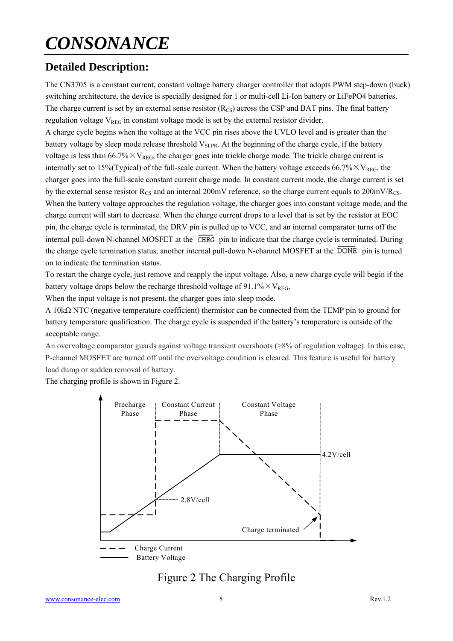## **Detailed Description:**

The CN3705 is a constant current, constant voltage battery charger controller that adopts PWM step-down (buck) switching architecture, the device is specially designed for 1 or multi-cell Li-Ion battery or LiFePO4 batteries. The charge current is set by an external sense resistor  $(R_{CS})$  across the CSP and BAT pins. The final battery regulation voltage  $V_{REG}$  in constant voltage mode is set by the external resistor divider.

A charge cycle begins when the voltage at the VCC pin rises above the UVLO level and is greater than the battery voltage by sleep mode release threshold V<sub>SLPR</sub>. At the beginning of the charge cycle, if the battery voltage is less than  $66.7\% \times V_{REG}$ , the charger goes into trickle charge mode. The trickle charge current is internally set to 15%(Typical) of the full-scale current. When the battery voltage exceeds 66.7% $\times$  V<sub>REG</sub>, the charger goes into the full-scale constant current charge mode. In constant current mode, the charge current is set by the external sense resistor  $R_{CS}$  and an internal 200mV reference, so the charge current equals to 200mV/ $R_{CS}$ . When the battery voltage approaches the regulation voltage, the charger goes into constant voltage mode, and the charge current will start to decrease. When the charge current drops to a level that is set by the resistor at EOC pin, the charge cycle is terminated, the DRV pin is pulled up to VCC, and an internal comparator turns off the internal pull-down N-channel MOSFET at the  $\overline{\text{CHRG}}$  pin to indicate that the charge cycle is terminated. During the charge cycle termination status, another internal pull-down N-channel MOSFET at the DONE pin is turned on to indicate the termination status.

To restart the charge cycle, just remove and reapply the input voltage. Also, a new charge cycle will begin if the battery voltage drops below the recharge threshold voltage of 91.1% $\times$ V<sub>REG</sub>.

When the input voltage is not present, the charger goes into sleep mode.

A 10kΩ NTC (negative temperature coefficient) thermistor can be connected from the TEMP pin to ground for battery temperature qualification. The charge cycle is suspended if the battery's temperature is outside of the acceptable range.

An overvoltage comparator guards against voltage transient overshoots (>8% of regulation voltage). In this case, P-channel MOSFET are turned off until the overvoltage condition is cleared. This feature is useful for battery load dump or sudden removal of battery.

The charging profile is shown in Figure 2.



### Figure 2 The Charging Profile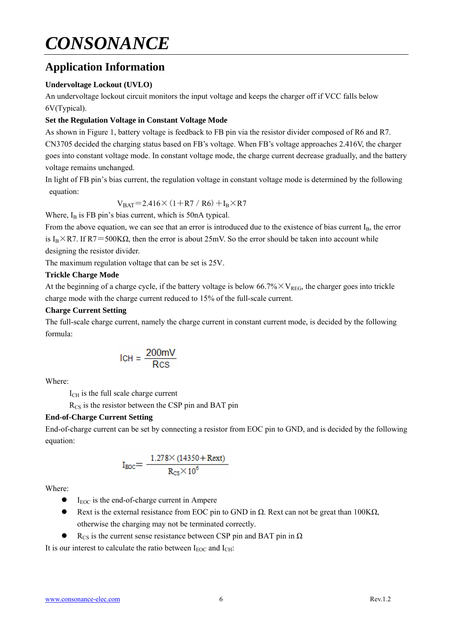### **Application Information**

#### **Undervoltage Lockout (UVLO)**

An undervoltage lockout circuit monitors the input voltage and keeps the charger off if VCC falls below 6V(Typical).

#### **Set the Regulation Voltage in Constant Voltage Mode**

As shown in Figure 1, battery voltage is feedback to FB pin via the resistor divider composed of R6 and R7. CN3705 decided the charging status based on FB's voltage. When FB's voltage approaches 2.416V, the charger goes into constant voltage mode. In constant voltage mode, the charge current decrease gradually, and the battery voltage remains unchanged.

In light of FB pin's bias current, the regulation voltage in constant voltage mode is determined by the following equation:

$$
V_{BAT}
$$
=2.416× $(1+R7/R6) + I_B \times R7$ 

Where,  $I_B$  is FB pin's bias current, which is 50nA typical.

From the above equation, we can see that an error is introduced due to the existence of bias current  $I_B$ , the error is I<sub>B</sub>×R7. If R7=500K $\Omega$ , then the error is about 25mV. So the error should be taken into account while designing the resistor divider.

The maximum regulation voltage that can be set is 25V.

#### **Trickle Charge Mode**

At the beginning of a charge cycle, if the battery voltage is below  $66.7\% \times V_{REG}$ , the charger goes into trickle charge mode with the charge current reduced to 15% of the full-scale current.

#### **Charge Current Setting**

The full-scale charge current, namely the charge current in constant current mode, is decided by the following formula:

$$
ICH = \frac{200 \text{mV}}{\text{Rcs}}
$$

Where:

I<sub>CH</sub> is the full scale charge current

 $R_{CS}$  is the resistor between the CSP pin and BAT pin

#### **End-of-Charge Current Setting**

End-of-charge current can be set by connecting a resistor from EOC pin to GND, and is decided by the following equation:

$$
I_{\text{BOC}}{=}\ \frac{1.278{\times}(14350{\pm}\text{Rext})}{R_{\text{CS}}{\times}10^6}
$$

Where:

- $\bullet$  I<sub>EOC</sub> is the end-of-charge current in Ampere
- Rext is the external resistance from EOC pin to GND in  $\Omega$ . Rext can not be great than 100K $\Omega$ , otherwise the charging may not be terminated correctly.
- $R_{CS}$  is the current sense resistance between CSP pin and BAT pin in  $\Omega$

It is our interest to calculate the ratio between  $I_{EOC}$  and  $I_{CH}$ :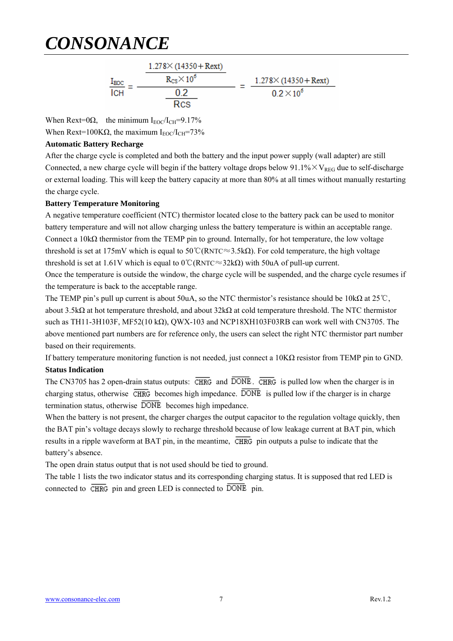$$
\frac{I_{\text{EOC}}}{I\text{CH}} = \frac{\frac{1.278 \times (14350 + \text{Rext})}{R_{\text{CS}} \times 10^6}}{\frac{0.2}{\text{Rcs}}} = \frac{1.278 \times (14350 + \text{Rext})}{0.2 \times 10^6}
$$

When Rext=0 $\Omega$ , the minimum I<sub>EOC</sub>/I<sub>CH</sub>=9.17%

When Rext=100K $\Omega$ , the maximum I<sub>EOC</sub>/I<sub>CH</sub>=73%

#### **Automatic Battery Recharge**

After the charge cycle is completed and both the battery and the input power supply (wall adapter) are still Connected, a new charge cycle will begin if the battery voltage drops below  $91.1\% \times V_{REG}$  due to self-discharge or external loading. This will keep the battery capacity at more than 80% at all times without manually restarting the charge cycle.

#### **Battery Temperature Monitoring**

A negative temperature coefficient (NTC) thermistor located close to the battery pack can be used to monitor battery temperature and will not allow charging unless the battery temperature is within an acceptable range. Connect a 10kΩ thermistor from the TEMP pin to ground. Internally, for hot temperature, the low voltage threshold is set at 175mV which is equal to  $50^{\circ}$ C(RNTC≈3.5kΩ). For cold temperature, the high voltage threshold is set at 1.61V which is equal to 0℃(RNTC≈32kΩ) with 50uA of pull-up current.

Once the temperature is outside the window, the charge cycle will be suspended, and the charge cycle resumes if the temperature is back to the acceptable range.

The TEMP pin's pull up current is about 50uA, so the NTC thermistor's resistance should be 10kΩ at 25℃, about 3.5kΩ at hot temperature threshold, and about 32kΩ at cold temperature threshold. The NTC thermistor such as TH11-3H103F, MF52(10 k $\Omega$ ), QWX-103 and NCP18XH103F03RB can work well with CN3705. The above mentioned part numbers are for reference only, the users can select the right NTC thermistor part number based on their requirements.

If battery temperature monitoring function is not needed, just connect a 10KΩ resistor from TEMP pin to GND. **Status Indication** 

The CN3705 has 2 open-drain status outputs:  $\overline{\text{CHRG}}$  and  $\overline{\text{DONE}}$ .  $\overline{\text{CHRG}}$  is pulled low when the charger is in charging status, otherwise  $\overline{\text{CHRG}}$  becomes high impedance.  $\overline{\text{DONE}}$  is pulled low if the charger is in charge termination status, otherwise  $\overline{DONE}$  becomes high impedance.

When the battery is not present, the charger charges the output capacitor to the regulation voltage quickly, then the BAT pin's voltage decays slowly to recharge threshold because of low leakage current at BAT pin, which results in a ripple waveform at BAT pin, in the meantime,  $\overline{CHRG}$  pin outputs a pulse to indicate that the battery's absence.

The open drain status output that is not used should be tied to ground.

The table 1 lists the two indicator status and its corresponding charging status. It is supposed that red LED is connected to  $\overline{\text{CHRG}}$  pin and green LED is connected to  $\overline{\text{DONE}}$  pin.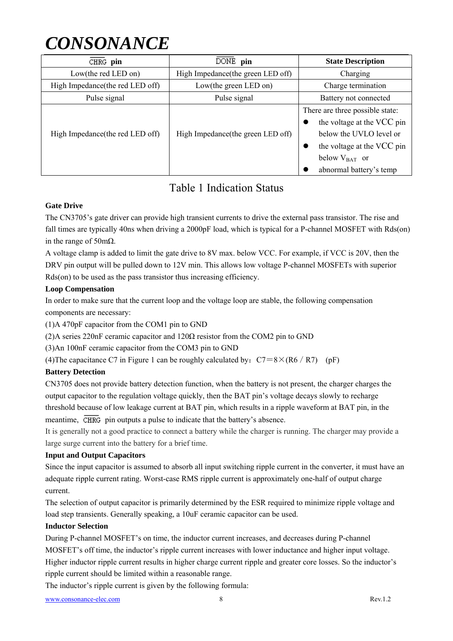| CHRG pin                         | DONE pin                           | <b>State Description</b>                                                                                                                                                |  |
|----------------------------------|------------------------------------|-------------------------------------------------------------------------------------------------------------------------------------------------------------------------|--|
| Low(the red LED on)              | High Impedance (the green LED off) | Charging                                                                                                                                                                |  |
| High Impedance (the red LED off) | Low(the green LED on)              | Charge termination                                                                                                                                                      |  |
| Pulse signal                     | Pulse signal                       | Battery not connected                                                                                                                                                   |  |
| High Impedance (the red LED off) | High Impedance (the green LED off) | There are three possible state:<br>the voltage at the VCC pin<br>below the UVLO level or<br>the voltage at the VCC pin<br>below $V_{BAT}$ or<br>abnormal battery's temp |  |

### Table 1 Indication Status

#### **Gate Drive**

The CN3705's gate driver can provide high transient currents to drive the external pass transistor. The rise and fall times are typically 40ns when driving a 2000pF load, which is typical for a P-channel MOSFET with Rds(on) in the range of 50m $\Omega$ .

A voltage clamp is added to limit the gate drive to 8V max. below VCC. For example, if VCC is 20V, then the DRV pin output will be pulled down to 12V min. This allows low voltage P-channel MOSFETs with superior Rds(on) to be used as the pass transistor thus increasing efficiency.

#### **Loop Compensation**

In order to make sure that the current loop and the voltage loop are stable, the following compensation components are necessary:

(1)A 470pF capacitor from the COM1 pin to GND

(2)A series 220nF ceramic capacitor and  $120\Omega$  resistor from the COM2 pin to GND

(3)An 100nF ceramic capacitor from the COM3 pin to GND

(4) The capacitance C7 in Figure 1 can be roughly calculated by:  $C7=8\times (R6/R7)$  (pF)

#### **Battery Detection**

CN3705 does not provide battery detection function, when the battery is not present, the charger charges the output capacitor to the regulation voltage quickly, then the BAT pin's voltage decays slowly to recharge threshold because of low leakage current at BAT pin, which results in a ripple waveform at BAT pin, in the meantime,  $\overline{\text{CHRG}}$  pin outputs a pulse to indicate that the battery's absence.

It is generally not a good practice to connect a battery while the charger is running. The charger may provide a large surge current into the battery for a brief time.

#### **Input and Output Capacitors**

Since the input capacitor is assumed to absorb all input switching ripple current in the converter, it must have an adequate ripple current rating. Worst-case RMS ripple current is approximately one-half of output charge current.

The selection of output capacitor is primarily determined by the ESR required to minimize ripple voltage and load step transients. Generally speaking, a 10uF ceramic capacitor can be used.

#### **Inductor Selection**

During P-channel MOSFET's on time, the inductor current increases, and decreases during P-channel MOSFET's off time, the inductor's ripple current increases with lower inductance and higher input voltage. Higher inductor ripple current results in higher charge current ripple and greater core losses. So the inductor's ripple current should be limited within a reasonable range.

The inductor's ripple current is given by the following formula: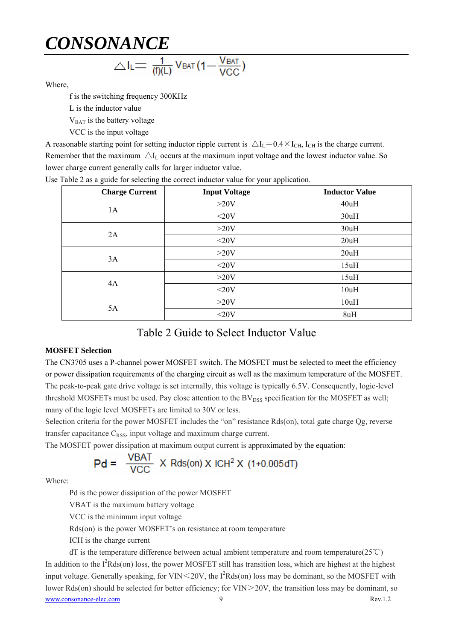$$
\triangle I_L = \frac{1}{(f)(L)} V_{BAT} (1 - \frac{V_{BAT}}{VCC})
$$

Where,

f is the switching frequency 300KHz

L is the inductor value

V<sub>BAT</sub> is the battery voltage

VCC is the input voltage

A reasonable starting point for setting inductor ripple current is  $\Delta I_L = 0.4 \times I_{CH}$ , I<sub>CH</sub> is the charge current. Remember that the maximum  $\Delta I_L$  occurs at the maximum input voltage and the lowest inductor value. So lower charge current generally calls for larger inductor value.

| <b>Charge Current</b> | <b>Input Voltage</b> | <b>Inductor Value</b> |
|-----------------------|----------------------|-----------------------|
| 1A                    | >20V                 | 40uH                  |
|                       | $<$ 20V              | 30uH                  |
| 2A                    | >20V                 | 30uH                  |
|                       | $<$ 20V              | 20uH                  |
| 3A                    | >20V                 | 20uH                  |
|                       | $<$ 20V              | 15uH                  |
| 4A                    | >20V                 | 15uH                  |
|                       | $<$ 20V              | 10uH                  |
| 5A                    | >20V                 | 10uH                  |
|                       | $<$ 20V              | 8uH                   |

Use Table 2 as a guide for selecting the correct inductor value for your application.

### Table 2 Guide to Select Inductor Value

#### **MOSFET Selection**

The CN3705 uses a P-channel power MOSFET switch. The MOSFET must be selected to meet the efficiency or power dissipation requirements of the charging circuit as well as the maximum temperature of the MOSFET. The peak-to-peak gate drive voltage is set internally, this voltage is typically 6.5V. Consequently, logic-level threshold MOSFETs must be used. Pay close attention to the  $BV<sub>DSS</sub>$  specification for the MOSFET as well; many of the logic level MOSFETs are limited to 30V or less.

Selection criteria for the power MOSFET includes the "on" resistance Rds(on), total gate charge Qg, reverse transfer capacitance  $C_{RSS}$ , input voltage and maximum charge current.

The MOSFET power dissipation at maximum output current is approximated by the equation:

$$
Pd = \frac{VBAT}{VCC} \times Rds(0n) \times ICH^2 \times (1+0.005dT)
$$

Where:

Pd is the power dissipation of the power MOSFET

VBAT is the maximum battery voltage

VCC is the minimum input voltage

Rds(on) is the power MOSFET's on resistance at room temperature

ICH is the charge current

www.consonance-elec.com 9 Rev.1.2 dT is the temperature difference between actual ambient temperature and room temperature( $25^{\circ}$ C) In addition to the  $I^2Rds($ on) loss, the power MOSFET still has transition loss, which are highest at the highest input voltage. Generally speaking, for VIN $\leq$ 20V, the I<sup>2</sup>Rds(on) loss may be dominant, so the MOSFET with lower Rds(on) should be selected for better efficiency; for VIN>20V, the transition loss may be dominant, so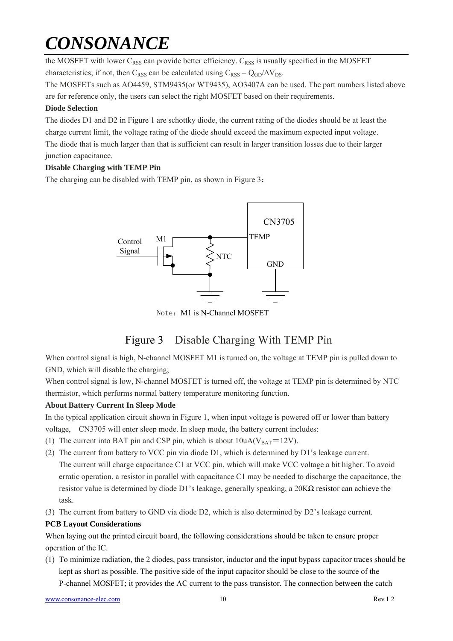the MOSFET with lower  $C_{RSS}$  can provide better efficiency.  $C_{RSS}$  is usually specified in the MOSFET characteristics; if not, then C<sub>RSS</sub> can be calculated using  $C_{RSS} = Q_{GD}/\Delta V_{DS}$ .

The MOSFETs such as AO4459, STM9435(or WT9435), AO3407A can be used. The part numbers listed above are for reference only, the users can select the right MOSFET based on their requirements.

#### **Diode Selection**

The diodes D1 and D2 in Figure 1 are schottky diode, the current rating of the diodes should be at least the charge current limit, the voltage rating of the diode should exceed the maximum expected input voltage. The diode that is much larger than that is sufficient can result in larger transition losses due to their larger junction capacitance.

#### **Disable Charging with TEMP Pin**

The charging can be disabled with TEMP pin, as shown in Figure 3:



Note: M1 is N-Channel MOSFET

## Figure 3 Disable Charging With TEMP Pin

When control signal is high, N-channel MOSFET M1 is turned on, the voltage at TEMP pin is pulled down to GND, which will disable the charging;

When control signal is low, N-channel MOSFET is turned off, the voltage at TEMP pin is determined by NTC thermistor, which performs normal battery temperature monitoring function.

#### **About Battery Current In Sleep Mode**

In the typical application circuit shown in Figure 1, when input voltage is powered off or lower than battery voltage, CN3705 will enter sleep mode. In sleep mode, the battery current includes:

- (1) The current into BAT pin and CSP pin, which is about  $10uA(V_{BAT}=12V)$ .
- (2) The current from battery to VCC pin via diode D1, which is determined by D1's leakage current. The current will charge capacitance C1 at VCC pin, which will make VCC voltage a bit higher. To avoid erratic operation, a resistor in parallel with capacitance C1 may be needed to discharge the capacitance, the resistor value is determined by diode D1's leakage, generally speaking, a  $20K\Omega$  resistor can achieve the task.
- (3) The current from battery to GND via diode D2, which is also determined by D2's leakage current.

#### **PCB Layout Considerations**

When laying out the printed circuit board, the following considerations should be taken to ensure proper operation of the IC.

(1) To minimize radiation, the 2 diodes, pass transistor, inductor and the input bypass capacitor traces should be kept as short as possible. The positive side of the input capacitor should be close to the source of the P-channel MOSFET; it provides the AC current to the pass transistor. The connection between the catch

www.consonance-elec.com 10 Rev.1.2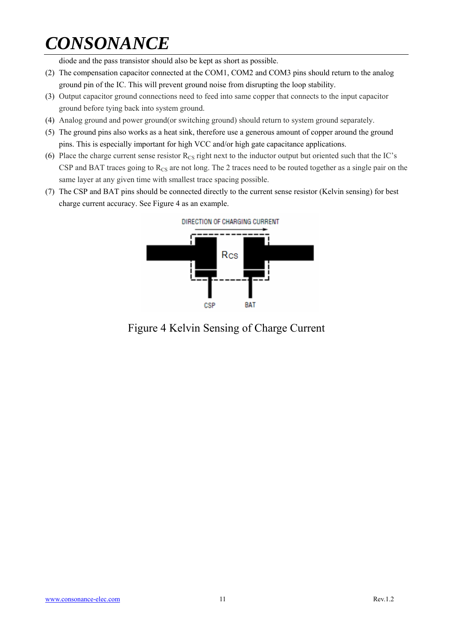diode and the pass transistor should also be kept as short as possible.

- (2) The compensation capacitor connected at the COM1, COM2 and COM3 pins should return to the analog ground pin of the IC. This will prevent ground noise from disrupting the loop stability.
- (3) Output capacitor ground connections need to feed into same copper that connects to the input capacitor ground before tying back into system ground.
- (4) Analog ground and power ground(or switching ground) should return to system ground separately.
- (5) The ground pins also works as a heat sink, therefore use a generous amount of copper around the ground pins. This is especially important for high VCC and/or high gate capacitance applications.
- (6) Place the charge current sense resistor  $R_{CS}$  right next to the inductor output but oriented such that the IC's CSP and BAT traces going to  $R_{CS}$  are not long. The 2 traces need to be routed together as a single pair on the same layer at any given time with smallest trace spacing possible.
- (7) The CSP and BAT pins should be connected directly to the current sense resistor (Kelvin sensing) for best charge current accuracy. See Figure 4 as an example.



Figure 4 Kelvin Sensing of Charge Current